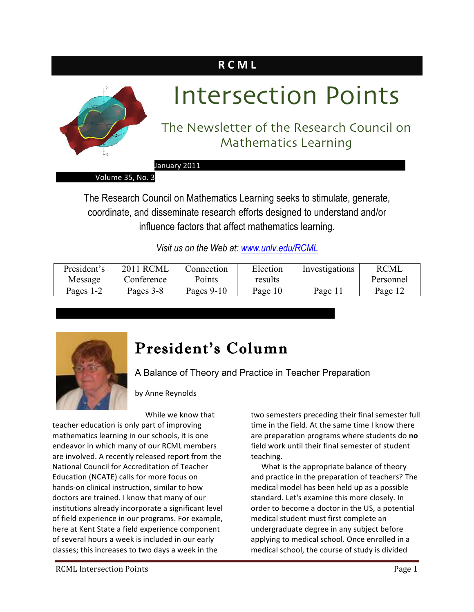### **R C M L**



# Intersection Points

### The Newsletter of the Research Council on Mathematics Learning

January 2011

Volume 35, No. 3

The Research Council on Mathematics Learning seeks to stimulate, generate, coordinate, and disseminate research efforts designed to understand and/or influence factors that affect mathematics learning.

*Visit us on the Web at: www.unlv.edu/RCML*

| President's | <b>2011 RCML</b> | Connection | Election | Investigations | <b>RCML</b> |
|-------------|------------------|------------|----------|----------------|-------------|
| Message     | Conference       | Points     | results  |                | Personnel   |
| Pages 1-2   | Pages 3-8        | Pages 9-10 | Page 10  | Page $1.$      | Page 12     |



### President's Column

 

A Balance of Theory and Practice in Teacher Preparation

by Anne Reynolds

While we know that

teacher education is only part of improving mathematics learning in our schools, it is one endeavor in which many of our RCML members are involved. A recently released report from the National Council for Accreditation of Teacher Education (NCATE) calls for more focus on hands-on clinical instruction, similar to how doctors are trained. I know that many of our institutions already incorporate a significant level of field experience in our programs. For example, here at Kent State a field experience component of several hours a week is included in our early classes; this increases to two days a week in the

two semesters preceding their final semester full time in the field. At the same time I know there are preparation programs where students do no field work until their final semester of student teaching.

What is the appropriate balance of theory and practice in the preparation of teachers? The medical model has been held up as a possible standard. Let's examine this more closely. In order to become a doctor in the US, a potential medical student must first complete an undergraduate degree in any subject before applying to medical school. Once enrolled in a medical school, the course of study is divided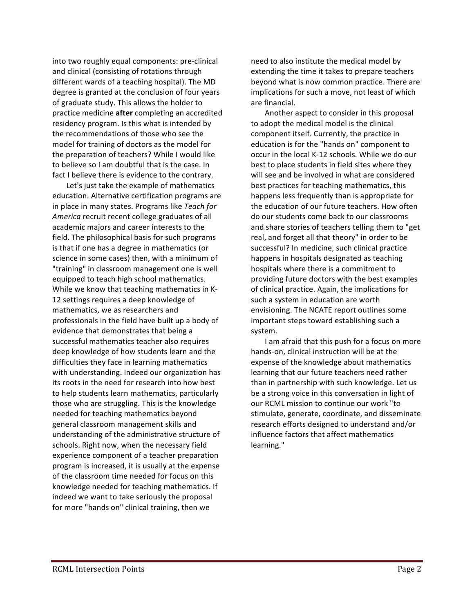into two roughly equal components: pre-clinical and clinical (consisting of rotations through different wards of a teaching hospital). The MD degree is granted at the conclusion of four years of graduate study. This allows the holder to practice medicine **after** completing an accredited residency program. Is this what is intended by the recommendations of those who see the model for training of doctors as the model for the preparation of teachers? While I would like to believe so I am doubtful that is the case. In fact I believe there is evidence to the contrary.

Let's just take the example of mathematics education. Alternative certification programs are in place in many states. Programs like Teach for America recruit recent college graduates of all academic majors and career interests to the field. The philosophical basis for such programs is that if one has a degree in mathematics (or science in some cases) then, with a minimum of "training" in classroom management one is well equipped to teach high school mathematics. While we know that teaching mathematics in K-12 settings requires a deep knowledge of mathematics, we as researchers and professionals in the field have built up a body of evidence that demonstrates that being a successful mathematics teacher also requires deep knowledge of how students learn and the difficulties they face in learning mathematics with understanding. Indeed our organization has its roots in the need for research into how best to help students learn mathematics, particularly those who are struggling. This is the knowledge needed for teaching mathematics beyond general classroom management skills and understanding of the administrative structure of schools. Right now, when the necessary field experience component of a teacher preparation program is increased, it is usually at the expense of the classroom time needed for focus on this knowledge needed for teaching mathematics. If indeed we want to take seriously the proposal for more "hands on" clinical training, then we

need to also institute the medical model by extending the time it takes to prepare teachers beyond what is now common practice. There are implications for such a move, not least of which are financial.

Another aspect to consider in this proposal to adopt the medical model is the clinical component itself. Currently, the practice in education is for the "hands on" component to occur in the local K-12 schools. While we do our best to place students in field sites where they will see and be involved in what are considered best practices for teaching mathematics, this happens less frequently than is appropriate for the education of our future teachers. How often do our students come back to our classrooms and share stories of teachers telling them to "get real, and forget all that theory" in order to be successful? In medicine, such clinical practice happens in hospitals designated as teaching hospitals where there is a commitment to providing future doctors with the best examples of clinical practice. Again, the implications for such a system in education are worth envisioning. The NCATE report outlines some important steps toward establishing such a system.

I am afraid that this push for a focus on more hands-on, clinical instruction will be at the expense of the knowledge about mathematics learning that our future teachers need rather than in partnership with such knowledge. Let us be a strong voice in this conversation in light of our RCML mission to continue our work "to stimulate, generate, coordinate, and disseminate research efforts designed to understand and/or influence factors that affect mathematics learning."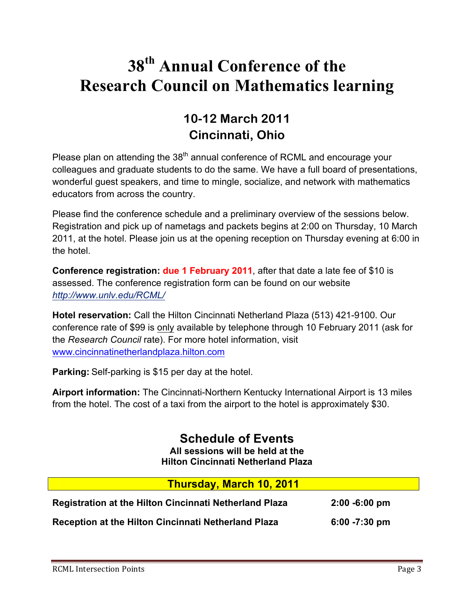### **38th Annual Conference of the Research Council on Mathematics learning**

### **10-12 March 2011 Cincinnati, Ohio**

Please plan on attending the  $38<sup>th</sup>$  annual conference of RCML and encourage your colleagues and graduate students to do the same. We have a full board of presentations, wonderful guest speakers, and time to mingle, socialize, and network with mathematics educators from across the country.

Please find the conference schedule and a preliminary overview of the sessions below. Registration and pick up of nametags and packets begins at 2:00 on Thursday, 10 March 2011, at the hotel. Please join us at the opening reception on Thursday evening at 6:00 in the hotel.

**Conference registration: due 1 February 2011**, after that date a late fee of \$10 is assessed. The conference registration form can be found on our website *http://www.unlv.edu/RCML/*

**Hotel reservation:** Call the Hilton Cincinnati Netherland Plaza (513) 421-9100. Our conference rate of \$99 is only available by telephone through 10 February 2011 (ask for the *Research Council* rate). For more hotel information, visit www.cincinnatinetherlandplaza.hilton.com

**Parking:** Self-parking is \$15 per day at the hotel.

**Airport information:** The Cincinnati-Northern Kentucky International Airport is 13 miles from the hotel. The cost of a taxi from the airport to the hotel is approximately \$30.

> **Schedule of Events All sessions will be held at the Hilton Cincinnati Netherland Plaza**

| <b>Thursday, March 10, 2011</b>                               |                  |
|---------------------------------------------------------------|------------------|
| <b>Registration at the Hilton Cincinnati Netherland Plaza</b> | $2:00 - 6:00$ pm |
| Reception at the Hilton Cincinnati Netherland Plaza           | $6:00 - 7:30$ pm |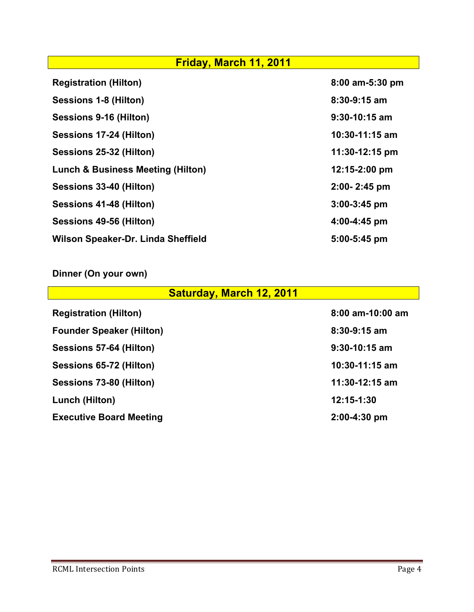| Friday, March 11, 2011                       |                    |  |  |
|----------------------------------------------|--------------------|--|--|
| <b>Registration (Hilton)</b>                 | 8:00 am-5:30 pm    |  |  |
| Sessions 1-8 (Hilton)                        | $8:30 - 9:15$ am   |  |  |
| Sessions 9-16 (Hilton)                       | $9:30-10:15$ am    |  |  |
| Sessions 17-24 (Hilton)                      | $10:30 - 11:15$ am |  |  |
| Sessions 25-32 (Hilton)                      | $11:30-12:15$ pm   |  |  |
| <b>Lunch &amp; Business Meeting (Hilton)</b> | $12:15 - 2:00$ pm  |  |  |
| Sessions 33-40 (Hilton)                      | $2:00 - 2:45$ pm   |  |  |
| Sessions 41-48 (Hilton)                      | $3:00-3:45$ pm     |  |  |
| Sessions 49-56 (Hilton)                      | 4:00-4:45 pm       |  |  |
| Wilson Speaker-Dr. Linda Sheffield           | 5:00-5:45 pm       |  |  |

### **Dinner (On your own)**

| <b>Saturday, March 12, 2011</b> |                  |
|---------------------------------|------------------|
| <b>Registration (Hilton)</b>    | 8:00 am-10:00 am |
| <b>Founder Speaker (Hilton)</b> | $8:30-9:15$ am   |
| Sessions 57-64 (Hilton)         | $9:30-10:15$ am  |
| Sessions 65-72 (Hilton)         | $10:30-11:15$ am |
| Sessions 73-80 (Hilton)         | 11:30-12:15 am   |
| Lunch (Hilton)                  | 12:15-1:30       |
| <b>Executive Board Meeting</b>  | $2:00-4:30$ pm   |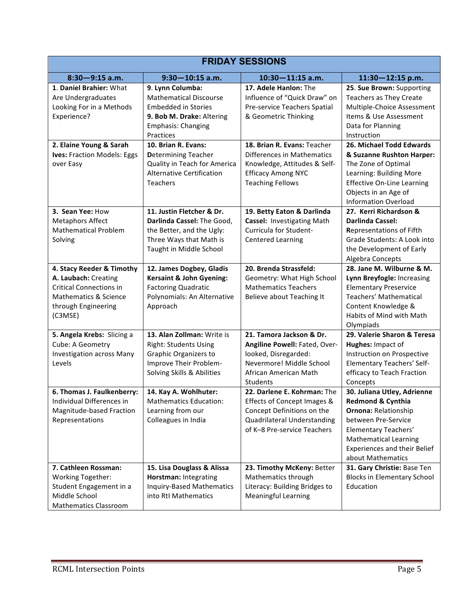| <b>FRIDAY SESSIONS</b>                                                                                                                         |                                                                                                                                                        |                                                                                                                                                           |                                                                                                                                                                                                                            |  |
|------------------------------------------------------------------------------------------------------------------------------------------------|--------------------------------------------------------------------------------------------------------------------------------------------------------|-----------------------------------------------------------------------------------------------------------------------------------------------------------|----------------------------------------------------------------------------------------------------------------------------------------------------------------------------------------------------------------------------|--|
| $8:30 - 9:15$ a.m.                                                                                                                             | $9:30 - 10:15$ a.m.                                                                                                                                    | $10:30 - 11:15$ a.m.                                                                                                                                      | $11:30 - 12:15$ p.m.                                                                                                                                                                                                       |  |
| 1. Daniel Brahier: What<br>Are Undergraduates<br>Looking For in a Methods<br>Experience?                                                       | 9. Lynn Columba:<br><b>Mathematical Discourse</b><br><b>Embedded in Stories</b><br>9. Bob M. Drake: Altering<br><b>Emphasis: Changing</b><br>Practices | 17. Adele Hanlon: The<br>Influence of "Quick Draw" on<br>Pre-service Teachers Spatial<br>& Geometric Thinking                                             | 25. Sue Brown: Supporting<br><b>Teachers as They Create</b><br>Multiple-Choice Assessment<br>Items & Use Assessment<br>Data for Planning<br>Instruction                                                                    |  |
| 2. Elaine Young & Sarah<br>Ives: Fraction Models: Eggs<br>over Easy                                                                            | 10. Brian R. Evans:<br><b>Determining Teacher</b><br>Quality in Teach for America<br><b>Alternative Certification</b><br>Teachers                      | 18. Brian R. Evans: Teacher<br>Differences in Mathematics<br>Knowledge, Attitudes & Self-<br><b>Efficacy Among NYC</b><br><b>Teaching Fellows</b>         | 26. Michael Todd Edwards<br>& Suzanne Rushton Harper:<br>The Zone of Optimal<br>Learning: Building More<br><b>Effective On-Line Learning</b><br>Objects in an Age of<br><b>Information Overload</b>                        |  |
| 3. Sean Yee: How<br><b>Metaphors Affect</b><br><b>Mathematical Problem</b><br>Solving                                                          | 11. Justin Fletcher & Dr.<br>Darlinda Cassel: The Good,<br>the Better, and the Ugly:<br>Three Ways that Math is<br>Taught in Middle School             | 19. Betty Eaton & Darlinda<br>Cassel: Investigating Math<br>Curricula for Student-<br><b>Centered Learning</b>                                            | 27. Kerri Richardson &<br><b>Darlinda Cassel:</b><br><b>Representations of Fifth</b><br>Grade Students: A Look into<br>the Development of Early<br>Algebra Concepts                                                        |  |
| 4. Stacy Reeder & Timothy<br>A. Laubach: Creating<br><b>Critical Connections in</b><br>Mathematics & Science<br>through Engineering<br>(C3MSE) | 12. James Dogbey, Gladis<br><b>Kersaint &amp; John Gyening:</b><br><b>Factoring Quadratic</b><br>Polynomials: An Alternative<br>Approach               | 20. Brenda Strassfeld:<br>Geometry: What High School<br><b>Mathematics Teachers</b><br>Believe about Teaching It                                          | 28. Jane M. Wilburne & M.<br>Lynn Breyfogle: Increasing<br><b>Elementary Preservice</b><br>Teachers' Mathematical<br>Content Knowledge &<br>Habits of Mind with Math<br>Olympiads                                          |  |
| 5. Angela Krebs: Slicing a<br>Cube: A Geometry<br><b>Investigation across Many</b><br>Levels                                                   | 13. Alan Zollman: Write is<br><b>Right: Students Using</b><br><b>Graphic Organizers to</b><br>Improve Their Problem-<br>Solving Skills & Abilities     | 21. Tamora Jackson & Dr.<br>Angiline Powell: Fated, Over-<br>looked, Disregarded:<br>Nevermore! Middle School<br>African American Math<br><b>Students</b> | 29. Valerie Sharon & Teresa<br>Hughes: Impact of<br>Instruction on Prospective<br><b>Elementary Teachers' Self-</b><br>efficacy to Teach Fraction<br>Concepts                                                              |  |
| 6. Thomas J. Faulkenberry:<br>Individual Differences in<br>Magnitude-based Fraction<br>Representations                                         | 14. Kay A. Wohlhuter:<br><b>Mathematics Education:</b><br>Learning from our<br>Colleagues in India                                                     | 22. Darlene E. Kohrman: The<br>Effects of Concept Images &<br>Concept Definitions on the<br>Quadrilateral Understanding<br>of K-8 Pre-service Teachers    | 30. Juliana Utley, Adrienne<br>Redmond & Cynthia<br><b>Ornona: Relationship</b><br>between Pre-Service<br>Elementary Teachers'<br><b>Mathematical Learning</b><br><b>Experiences and their Belief</b><br>about Mathematics |  |
| 7. Cathleen Rossman:<br>Working Together:<br>Student Engagement in a<br>Middle School<br><b>Mathematics Classroom</b>                          | 15. Lisa Douglass & Alissa<br>Horstman: Integrating<br><b>Inquiry-Based Mathematics</b><br>into RtI Mathematics                                        | 23. Timothy McKeny: Better<br>Mathematics through<br>Literacy: Building Bridges to<br><b>Meaningful Learning</b>                                          | 31. Gary Christie: Base Ten<br><b>Blocks in Elementary School</b><br>Education                                                                                                                                             |  |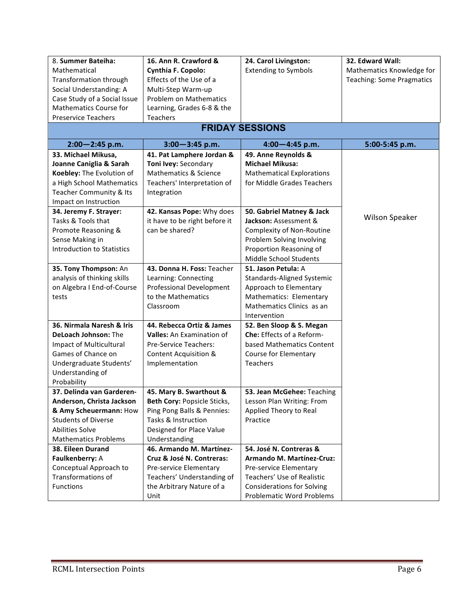| 8. Summer Bateiha:                | 16. Ann R. Crawford &            | 24. Carol Livingston:             | 32. Edward Wall:                 |  |
|-----------------------------------|----------------------------------|-----------------------------------|----------------------------------|--|
| Mathematical                      | Cynthia F. Copolo:               | <b>Extending to Symbols</b>       | Mathematics Knowledge for        |  |
| Transformation through            | Effects of the Use of a          |                                   | <b>Teaching: Some Pragmatics</b> |  |
| Social Understanding: A           | Multi-Step Warm-up               |                                   |                                  |  |
| Case Study of a Social Issue      | <b>Problem on Mathematics</b>    |                                   |                                  |  |
| <b>Mathematics Course for</b>     | Learning, Grades 6-8 & the       |                                   |                                  |  |
| <b>Preservice Teachers</b>        | Teachers                         |                                   |                                  |  |
|                                   | <b>FRIDAY SESSIONS</b>           |                                   |                                  |  |
| $2:00 - 2:45$ p.m.                | $3:00 - 3:45$ p.m.               | $4:00 - 4:45$ p.m.                | 5:00-5:45 p.m.                   |  |
| 33. Michael Mikusa,               | 41. Pat Lamphere Jordan &        | 49. Anne Reynolds &               |                                  |  |
| Joanne Caniglia & Sarah           | Toni Ivey: Secondary             | <b>Michael Mikusa:</b>            |                                  |  |
| Koebley: The Evolution of         | Mathematics & Science            | <b>Mathematical Explorations</b>  |                                  |  |
| a High School Mathematics         | Teachers' Interpretation of      | for Middle Grades Teachers        |                                  |  |
| Teacher Community & Its           | Integration                      |                                   |                                  |  |
| Impact on Instruction             |                                  |                                   |                                  |  |
| 34. Jeremy F. Strayer:            | 42. Kansas Pope: Why does        | 50. Gabriel Matney & Jack         |                                  |  |
| Tasks & Tools that                | it have to be right before it    | Jackson: Assessment &             | Wilson Speaker                   |  |
| Promote Reasoning &               | can be shared?                   | Complexity of Non-Routine         |                                  |  |
| Sense Making in                   |                                  | Problem Solving Involving         |                                  |  |
| <b>Introduction to Statistics</b> |                                  | Proportion Reasoning of           |                                  |  |
|                                   |                                  | Middle School Students            |                                  |  |
| 35. Tony Thompson: An             | 43. Donna H. Foss: Teacher       | 51. Jason Petula: A               |                                  |  |
| analysis of thinking skills       | Learning: Connecting             | Standards-Aligned Systemic        |                                  |  |
| on Algebra I End-of-Course        | <b>Professional Development</b>  | Approach to Elementary            |                                  |  |
| tests                             | to the Mathematics               | Mathematics: Elementary           |                                  |  |
|                                   | Classroom                        | Mathematics Clinics as an         |                                  |  |
|                                   |                                  | Intervention                      |                                  |  |
| 36. Nirmala Naresh & Iris         | 44. Rebecca Ortiz & James        | 52. Ben Sloop & S. Megan          |                                  |  |
| DeLoach Johnson: The              | <b>Valles:</b> An Examination of | Che: Effects of a Reform-         |                                  |  |
| <b>Impact of Multicultural</b>    | Pre-Service Teachers:            | based Mathematics Content         |                                  |  |
| Games of Chance on                | Content Acquisition &            | <b>Course for Elementary</b>      |                                  |  |
| Undergraduate Students'           | Implementation                   | <b>Teachers</b>                   |                                  |  |
| Understanding of                  |                                  |                                   |                                  |  |
| Probability                       |                                  |                                   |                                  |  |
| 37. Delinda van Garderen-         | 45. Mary B. Swarthout &          | 53. Jean McGehee: Teaching        |                                  |  |
| Anderson, Christa Jackson         | Beth Cory: Popsicle Sticks,      | Lesson Plan Writing: From         |                                  |  |
| & Amy Scheuermann: How            | Ping Pong Balls & Pennies:       | Applied Theory to Real            |                                  |  |
| <b>Students of Diverse</b>        | Tasks & Instruction              | Practice                          |                                  |  |
| <b>Abilities Solve</b>            | Designed for Place Value         |                                   |                                  |  |
| <b>Mathematics Problems</b>       | Understanding                    |                                   |                                  |  |
| 38. Eileen Durand                 | 46. Armando M. Martínez-         | 54. José N. Contreras &           |                                  |  |
| Faulkenberry: A                   | Cruz & José N. Contreras:        | Armando M. Martínez-Cruz:         |                                  |  |
| Conceptual Approach to            | Pre-service Elementary           | Pre-service Elementary            |                                  |  |
| Transformations of                | Teachers' Understanding of       | Teachers' Use of Realistic        |                                  |  |
| <b>Functions</b>                  | the Arbitrary Nature of a        | <b>Considerations for Solving</b> |                                  |  |
|                                   | Unit                             | <b>Problematic Word Problems</b>  |                                  |  |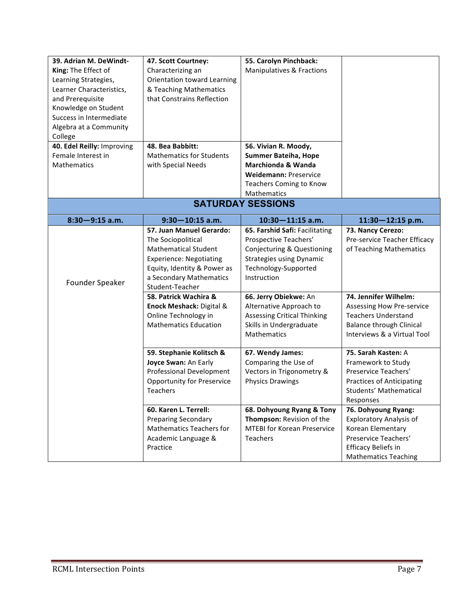| 39. Adrian M. DeWindt-     | 47. Scott Courtney:                 | 55. Carolyn Pinchback:             |                                  |
|----------------------------|-------------------------------------|------------------------------------|----------------------------------|
| King: The Effect of        | Characterizing an                   | Manipulatives & Fractions          |                                  |
| Learning Strategies,       | Orientation toward Learning         |                                    |                                  |
| Learner Characteristics,   | & Teaching Mathematics              |                                    |                                  |
| and Prerequisite           | that Constrains Reflection          |                                    |                                  |
| Knowledge on Student       |                                     |                                    |                                  |
| Success in Intermediate    |                                     |                                    |                                  |
| Algebra at a Community     |                                     |                                    |                                  |
| College                    |                                     |                                    |                                  |
| 40. Edel Reilly: Improving | 48. Bea Babbitt:                    | 56. Vivian R. Moody,               |                                  |
| Female Interest in         | <b>Mathematics for Students</b>     | <b>Summer Bateiha, Hope</b>        |                                  |
| Mathematics                | with Special Needs                  | Marchionda & Wanda                 |                                  |
|                            |                                     | <b>Weidemann: Preservice</b>       |                                  |
|                            |                                     | Teachers Coming to Know            |                                  |
|                            |                                     | <b>Mathematics</b>                 |                                  |
|                            |                                     | <b>SATURDAY SESSIONS</b>           |                                  |
| $8:30 - 9:15$ a.m.         | $9:30 - 10:15$ a.m.                 | $10:30 - 11:15$ a.m.               | $11:30 - 12:15$ p.m.             |
|                            | 57. Juan Manuel Gerardo:            | 65. Farshid Safi: Facilitating     | 73. Nancy Cerezo:                |
|                            | The Sociopolitical                  | Prospective Teachers'              | Pre-service Teacher Efficacy     |
|                            | <b>Mathematical Student</b>         | Conjecturing & Questioning         | of Teaching Mathematics          |
|                            | <b>Experience: Negotiating</b>      | <b>Strategies using Dynamic</b>    |                                  |
|                            | Equity, Identity & Power as         | Technology-Supported               |                                  |
| Founder Speaker            | a Secondary Mathematics             | Instruction                        |                                  |
|                            | Student-Teacher                     |                                    |                                  |
|                            | 58. Patrick Wachira &               | 66. Jerry Obiekwe: An              | 74. Jennifer Wilhelm:            |
|                            | <b>Enock Meshack: Digital &amp;</b> | Alternative Approach to            | <b>Assessing How Pre-service</b> |
|                            | Online Technology in                | <b>Assessing Critical Thinking</b> | <b>Teachers Understand</b>       |
|                            | <b>Mathematics Education</b>        | Skills in Undergraduate            | <b>Balance through Clinical</b>  |
|                            |                                     | <b>Mathematics</b>                 | Interviews & a Virtual Tool      |
|                            | 59. Stephanie Kolitsch &            | 67. Wendy James:                   | 75. Sarah Kasten: A              |
|                            | Joyce Swan: An Early                | Comparing the Use of               | Framework to Study               |
|                            | Professional Development            | Vectors in Trigonometry &          | Preservice Teachers'             |
|                            | Opportunity for Preservice          | <b>Physics Drawings</b>            | <b>Practices of Anticipating</b> |
|                            | <b>Teachers</b>                     |                                    | Students' Mathematical           |
|                            |                                     |                                    | Responses                        |
|                            | 60. Karen L. Terrell:               | 68. Dohyoung Ryang & Tony          | 76. Dohyoung Ryang:              |
|                            | <b>Preparing Secondary</b>          | Thompson: Revision of the          | <b>Exploratory Analysis of</b>   |
|                            | <b>Mathematics Teachers for</b>     | <b>MTEBI for Korean Preservice</b> | Korean Elementary                |
|                            | Academic Language &                 | <b>Teachers</b>                    | Preservice Teachers'             |
|                            | Practice                            |                                    | <b>Efficacy Beliefs in</b>       |
|                            |                                     |                                    | <b>Mathematics Teaching</b>      |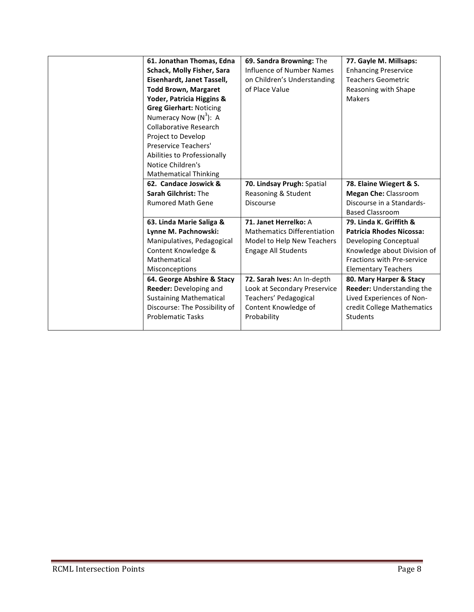| 61. Jonathan Thomas, Edna      | 69. Sandra Browning: The           | 77. Gayle M. Millsaps:          |
|--------------------------------|------------------------------------|---------------------------------|
| Schack, Molly Fisher, Sara     | Influence of Number Names          | <b>Enhancing Preservice</b>     |
| Eisenhardt, Janet Tassell,     | on Children's Understanding        | <b>Teachers Geometric</b>       |
| <b>Todd Brown, Margaret</b>    | of Place Value                     | Reasoning with Shape            |
| Yoder, Patricia Higgins &      |                                    | <b>Makers</b>                   |
| <b>Greg Gierhart: Noticing</b> |                                    |                                 |
| Numeracy Now $(N^3)$ : A       |                                    |                                 |
| <b>Collaborative Research</b>  |                                    |                                 |
| Project to Develop             |                                    |                                 |
| Preservice Teachers'           |                                    |                                 |
| Abilities to Professionally    |                                    |                                 |
| Notice Children's              |                                    |                                 |
| <b>Mathematical Thinking</b>   |                                    |                                 |
| 62. Candace Joswick &          | 70. Lindsay Prugh: Spatial         | 78. Elaine Wiegert & S.         |
| <b>Sarah Gilchrist: The</b>    | Reasoning & Student                | <b>Megan Che: Classroom</b>     |
| <b>Rumored Math Gene</b>       | <b>Discourse</b>                   | Discourse in a Standards-       |
|                                |                                    | <b>Based Classroom</b>          |
| 63. Linda Marie Saliga &       | 71. Janet Herrelko: A              | 79. Linda K. Griffith &         |
| Lynne M. Pachnowski:           | <b>Mathematics Differentiation</b> | <b>Patricia Rhodes Nicossa:</b> |
| Manipulatives, Pedagogical     | Model to Help New Teachers         | Developing Conceptual           |
| Content Knowledge &            | <b>Engage All Students</b>         | Knowledge about Division of     |
| Mathematical                   |                                    | Fractions with Pre-service      |
| Misconceptions                 |                                    | <b>Elementary Teachers</b>      |
| 64. George Abshire & Stacy     | 72. Sarah Ives: An In-depth        | 80. Mary Harper & Stacy         |
| Reeder: Developing and         | Look at Secondary Preservice       | Reeder: Understanding the       |
| <b>Sustaining Mathematical</b> | Teachers' Pedagogical              | Lived Experiences of Non-       |
| Discourse: The Possibility of  | Content Knowledge of               | credit College Mathematics      |
| <b>Problematic Tasks</b>       | Probability                        | <b>Students</b>                 |
|                                |                                    |                                 |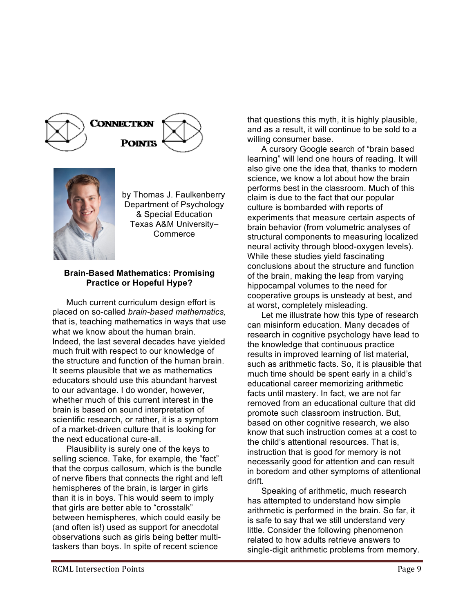



by Thomas J. Faulkenberry Department of Psychology & Special Education Texas A&M University– **Commerce** 

#### **Brain-Based Mathematics: Promising Practice or Hopeful Hype?**

Much current curriculum design effort is placed on so-called *brain-based mathematics,*  that is, teaching mathematics in ways that use what we know about the human brain. Indeed, the last several decades have yielded much fruit with respect to our knowledge of the structure and function of the human brain. It seems plausible that we as mathematics educators should use this abundant harvest to our advantage. I do wonder, however, whether much of this current interest in the brain is based on sound interpretation of scientific research, or rather, it is a symptom of a market-driven culture that is looking for the next educational cure-all.

Plausibility is surely one of the keys to selling science. Take, for example, the "fact" that the corpus callosum, which is the bundle of nerve fibers that connects the right and left hemispheres of the brain, is larger in girls than it is in boys. This would seem to imply that girls are better able to "crosstalk" between hemispheres, which could easily be (and often is!) used as support for anecdotal observations such as girls being better multitaskers than boys. In spite of recent science

that questions this myth, it is highly plausible, and as a result, it will continue to be sold to a willing consumer base.

A cursory Google search of "brain based learning" will lend one hours of reading. It will also give one the idea that, thanks to modern science, we know a lot about how the brain performs best in the classroom. Much of this claim is due to the fact that our popular culture is bombarded with reports of experiments that measure certain aspects of brain behavior (from volumetric analyses of structural components to measuring localized neural activity through blood-oxygen levels). While these studies yield fascinating conclusions about the structure and function of the brain, making the leap from varying hippocampal volumes to the need for cooperative groups is unsteady at best, and at worst, completely misleading.

Let me illustrate how this type of research can misinform education. Many decades of research in cognitive psychology have lead to the knowledge that continuous practice results in improved learning of list material, such as arithmetic facts. So, it is plausible that much time should be spent early in a child's educational career memorizing arithmetic facts until mastery. In fact, we are not far removed from an educational culture that did promote such classroom instruction. But, based on other cognitive research, we also know that such instruction comes at a cost to the child's attentional resources. That is, instruction that is good for memory is not necessarily good for attention and can result in boredom and other symptoms of attentional drift.

Speaking of arithmetic, much research has attempted to understand how simple arithmetic is performed in the brain. So far, it is safe to say that we still understand very little. Consider the following phenomenon related to how adults retrieve answers to single-digit arithmetic problems from memory.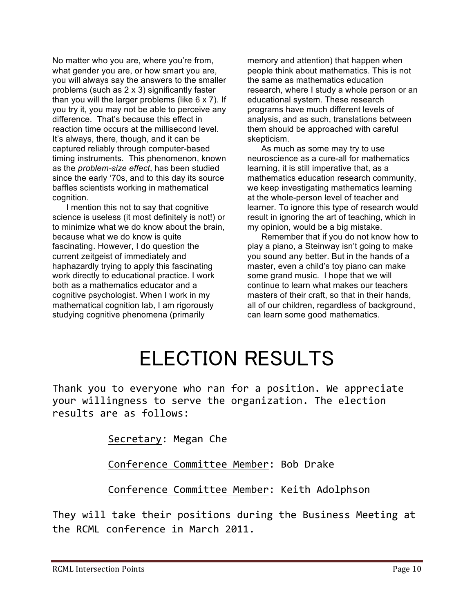No matter who you are, where you're from, what gender you are, or how smart you are, you will always say the answers to the smaller problems (such as 2 x 3) significantly faster than you will the larger problems (like 6 x 7). If you try it, you may not be able to perceive any difference. That's because this effect in reaction time occurs at the millisecond level. It's always, there, though, and it can be captured reliably through computer-based timing instruments. This phenomenon, known as the *problem-size effect*, has been studied since the early '70s, and to this day its source baffles scientists working in mathematical cognition.

I mention this not to say that cognitive science is useless (it most definitely is not!) or to minimize what we do know about the brain, because what we do know is quite fascinating. However, I do question the current zeitgeist of immediately and haphazardly trying to apply this fascinating work directly to educational practice. I work both as a mathematics educator and a cognitive psychologist. When I work in my mathematical cognition lab, I am rigorously studying cognitive phenomena (primarily

memory and attention) that happen when people think about mathematics. This is not the same as mathematics education research, where I study a whole person or an educational system. These research programs have much different levels of analysis, and as such, translations between them should be approached with careful skepticism.

As much as some may try to use neuroscience as a cure-all for mathematics learning, it is still imperative that, as a mathematics education research community, we keep investigating mathematics learning at the whole-person level of teacher and learner. To ignore this type of research would result in ignoring the art of teaching, which in my opinion, would be a big mistake.

Remember that if you do not know how to play a piano, a Steinway isn't going to make you sound any better. But in the hands of a master, even a child's toy piano can make some grand music. I hope that we will continue to learn what makes our teachers masters of their craft, so that in their hands, all of our children, regardless of background, can learn some good mathematics.

# ELECTION RESULTS

Thank you to everyone who ran for a position. We appreciate your willingness to serve the organization. The election results are as follows:

Secretary: Megan Che

Conference Committee Member: Bob Drake

Conference Committee Member: Keith Adolphson

They will take their positions during the Business Meeting at the RCML conference in March 2011.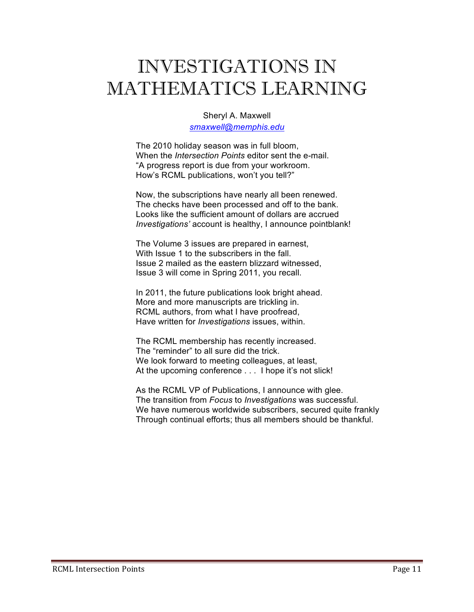## INVESTIGATIONS IN MATHEMATICS LEARNING

Sheryl A. Maxwell *smaxwell@memphis.edu*

The 2010 holiday season was in full bloom, When the *Intersection Points* editor sent the e-mail. "A progress report is due from your workroom. How's RCML publications, won't you tell?"

Now, the subscriptions have nearly all been renewed. The checks have been processed and off to the bank. Looks like the sufficient amount of dollars are accrued *Investigations'* account is healthy, I announce pointblank!

The Volume 3 issues are prepared in earnest, With Issue 1 to the subscribers in the fall. Issue 2 mailed as the eastern blizzard witnessed, Issue 3 will come in Spring 2011, you recall.

In 2011, the future publications look bright ahead. More and more manuscripts are trickling in. RCML authors, from what I have proofread, Have written for *Investigations* issues, within.

The RCML membership has recently increased. The "reminder" to all sure did the trick. We look forward to meeting colleagues, at least, At the upcoming conference . . . I hope it's not slick!

As the RCML VP of Publications, I announce with glee. The transition from *Focus* to *Investigations* was successful. We have numerous worldwide subscribers, secured quite frankly Through continual efforts; thus all members should be thankful.